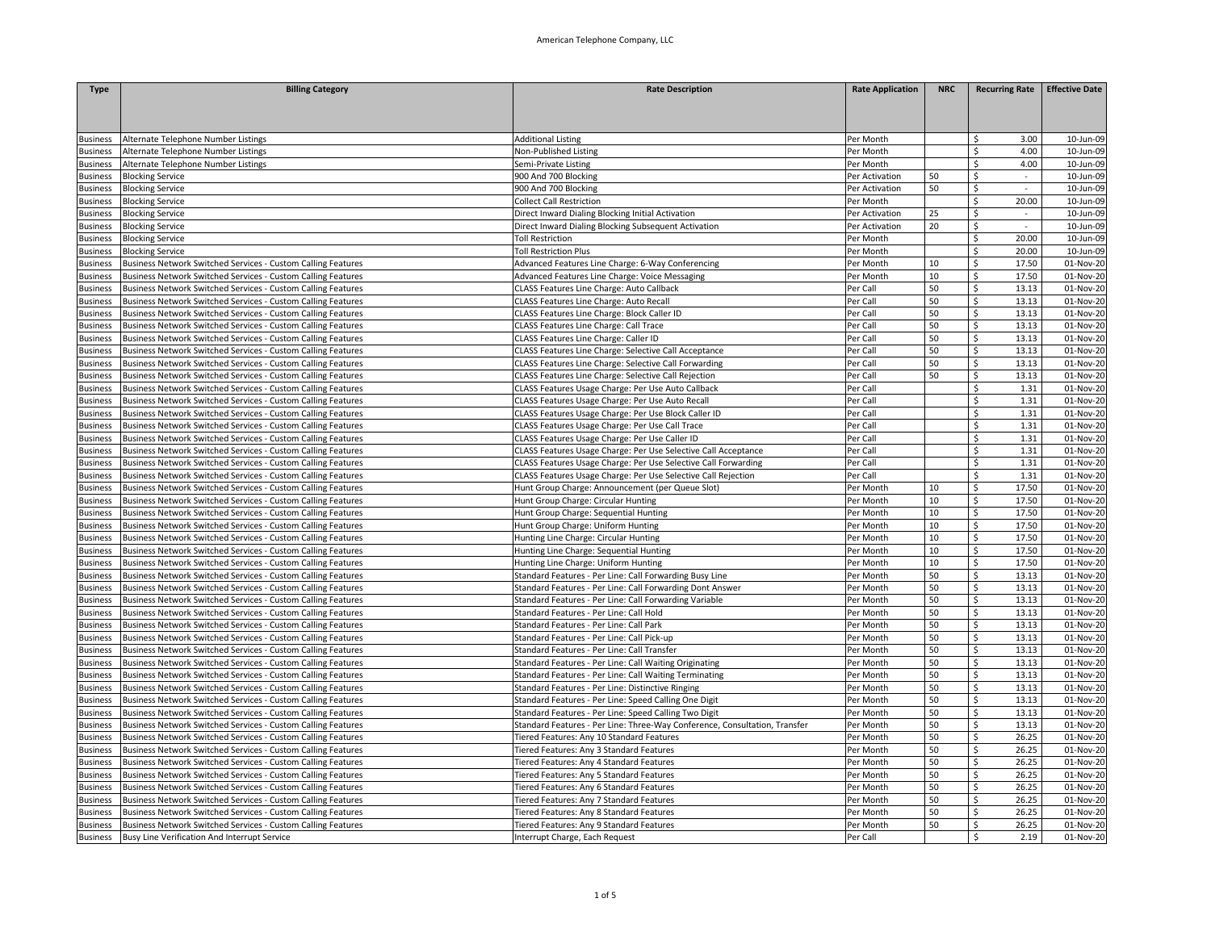| <b>Type</b>     | <b>Billing Category</b>                                      | <b>Rate Description</b>                                                    | <b>Rate Application</b> | <b>NRC</b> | <b>Recurring Rate</b>     | <b>Effective Date</b> |
|-----------------|--------------------------------------------------------------|----------------------------------------------------------------------------|-------------------------|------------|---------------------------|-----------------------|
|                 |                                                              |                                                                            |                         |            |                           |                       |
|                 |                                                              |                                                                            |                         |            |                           |                       |
|                 |                                                              |                                                                            |                         |            |                           |                       |
| <b>Business</b> | Alternate Telephone Number Listings                          | <b>Additional Listing</b>                                                  | Per Month               |            | \$<br>3.00                | 10-Jun-09             |
| Business        | Alternate Telephone Number Listings                          | Non-Published Listing                                                      | Per Month               |            | \$<br>4.00                | 10-Jun-09             |
| <b>Business</b> | Alternate Telephone Number Listings                          | Semi-Private Listing                                                       | Per Month               |            | 4.00<br>\$                | 10-Jun-09             |
| Business        | <b>Blocking Service</b>                                      | 900 And 700 Blocking                                                       | Per Activation          | 50         | \$                        | 10-Jun-09             |
| Business        | <b>Blocking Service</b>                                      | 900 And 700 Blocking                                                       | Per Activation          | 50         | \$<br>$\sim$              | 10-Jun-09             |
| <b>Business</b> | <b>Blocking Service</b>                                      | <b>Collect Call Restriction</b>                                            | Per Month               |            | \$<br>20.00               | 10-Jun-09             |
| Business        | <b>Blocking Service</b>                                      | Direct Inward Dialing Blocking Initial Activation                          | Per Activation          | 25         | \$<br>$\sim$              | 10-Jun-09             |
| <b>Business</b> | <b>Blocking Service</b>                                      | Direct Inward Dialing Blocking Subsequent Activation                       | Per Activation          | 20         | \$<br>$\sim$              | 10-Jun-09             |
| <b>Business</b> | <b>Blocking Service</b>                                      | <b>Toll Restriction</b>                                                    | Per Month               |            | \$<br>20.00               | 10-Jun-09             |
| <b>Business</b> | <b>Blocking Service</b>                                      | <b>Toll Restriction Plus</b>                                               | Per Month               |            | \$<br>20.00               | 10-Jun-09             |
| <b>Susiness</b> | Business Network Switched Services - Custom Calling Features | Advanced Features Line Charge: 6-Way Conferencing                          | Per Month               | 10         | \$<br>17.50               | 01-Nov-20             |
|                 |                                                              |                                                                            | Per Month               | 10         | \$<br>17.50               | 01-Nov-20             |
| Business        | Business Network Switched Services - Custom Calling Features | Advanced Features Line Charge: Voice Messaging                             |                         | 50         | \$                        |                       |
| Business        | Business Network Switched Services - Custom Calling Features | <b>CLASS Features Line Charge: Auto Callback</b>                           | Per Call                |            | 13.13                     | 01-Nov-20             |
| Business        | Business Network Switched Services - Custom Calling Features | CLASS Features Line Charge: Auto Recall                                    | Per Call                | 50         | \$<br>13.13               | 01-Nov-20             |
| Business        | Business Network Switched Services - Custom Calling Features | CLASS Features Line Charge: Block Caller ID                                | Per Call                | 50         | \$<br>13.13               | 01-Nov-20             |
| Business        | Business Network Switched Services - Custom Calling Features | CLASS Features Line Charge: Call Trace                                     | Per Call                | 50         | \$<br>13.13               | 01-Nov-20             |
| <b>Business</b> | Business Network Switched Services - Custom Calling Features | CLASS Features Line Charge: Caller ID                                      | Per Call                | 50         | 13.13<br>\$               | 01-Nov-20             |
| <b>Business</b> | Business Network Switched Services - Custom Calling Features | CLASS Features Line Charge: Selective Call Acceptance                      | Per Call                | 50         | \$<br>13.13               | 01-Nov-20             |
| <b>Business</b> | Business Network Switched Services - Custom Calling Features | CLASS Features Line Charge: Selective Call Forwarding                      | Per Call                | 50         | \$<br>13.13               | 01-Nov-20             |
| <b>Business</b> | Business Network Switched Services - Custom Calling Features | CLASS Features Line Charge: Selective Call Rejection                       | Per Call                | 50         | \$<br>13.13               | 01-Nov-20             |
| <b>Business</b> | Business Network Switched Services - Custom Calling Features | CLASS Features Usage Charge: Per Use Auto Callback                         | Per Call                |            | \$<br>1.31                | 01-Nov-20             |
| Business        | Business Network Switched Services - Custom Calling Features | CLASS Features Usage Charge: Per Use Auto Recall                           | Per Call                |            | \$<br>1.31                | 01-Nov-20             |
| Business        | Business Network Switched Services - Custom Calling Features | CLASS Features Usage Charge: Per Use Block Caller ID                       | Per Call                |            | \$<br>1.31                | 01-Nov-20             |
| <b>Business</b> | Business Network Switched Services - Custom Calling Features | CLASS Features Usage Charge: Per Use Call Trace                            | Per Call                |            | Ś<br>1.31                 | 01-Nov-20             |
| Business        | Business Network Switched Services - Custom Calling Features | CLASS Features Usage Charge: Per Use Caller ID                             | Per Call                |            | 1.31<br>Ś                 | 01-Nov-20             |
| <b>Business</b> | Business Network Switched Services - Custom Calling Features | CLASS Features Usage Charge: Per Use Selective Call Acceptance             | Per Call                |            | 1.31<br>\$                | 01-Nov-20             |
| <b>Business</b> | Business Network Switched Services - Custom Calling Features | CLASS Features Usage Charge: Per Use Selective Call Forwarding             | Per Call                |            | \$<br>1.31                | 01-Nov-20             |
| <b>Business</b> | Business Network Switched Services - Custom Calling Features | CLASS Features Usage Charge: Per Use Selective Call Rejection              | Per Call                |            | \$<br>1.31                | 01-Nov-20             |
| <b>Business</b> | Business Network Switched Services - Custom Calling Features | Hunt Group Charge: Announcement (per Queue Slot)                           | Per Month               | 10         | \$<br>17.50               | 01-Nov-20             |
| <b>Business</b> | Business Network Switched Services - Custom Calling Features | Hunt Group Charge: Circular Hunting                                        | Per Month               | 10         | \$<br>17.50               | 01-Nov-20             |
| Business        | Business Network Switched Services - Custom Calling Features | Hunt Group Charge: Sequential Hunting                                      | Per Month               | 10         | \$<br>17.50               | 01-Nov-20             |
| <b>Business</b> | Business Network Switched Services - Custom Calling Features | Hunt Group Charge: Uniform Hunting                                         | Per Month               | 10         | \$<br>17.50               | 01-Nov-20             |
| Business        | Business Network Switched Services - Custom Calling Features | Hunting Line Charge: Circular Hunting                                      | Per Month               | 10         | \$<br>17.50               | 01-Nov-20             |
| Business        | Business Network Switched Services - Custom Calling Features | Hunting Line Charge: Sequential Hunting                                    | Per Month               | 10         | \$<br>17.50               | 01-Nov-20             |
| <b>Business</b> | Business Network Switched Services - Custom Calling Features | Hunting Line Charge: Uniform Hunting                                       | Per Month               | 10         | \$<br>17.50               | 01-Nov-20             |
|                 |                                                              |                                                                            |                         | 50         |                           |                       |
| Business        | Business Network Switched Services - Custom Calling Features | Standard Features - Per Line: Call Forwarding Busy Line                    | Per Month               |            | \$<br>13.13<br>13.13      | 01-Nov-20             |
| <b>Business</b> | Business Network Switched Services - Custom Calling Features | Standard Features - Per Line: Call Forwarding Dont Answer                  | Per Month               | 50         | \$                        | 01-Nov-20             |
| <b>Business</b> | Business Network Switched Services - Custom Calling Features | Standard Features - Per Line: Call Forwarding Variable                     | Per Month               | 50         | \$<br>13.13               | 01-Nov-20             |
| Business        | Business Network Switched Services - Custom Calling Features | Standard Features - Per Line: Call Hold                                    | Per Month               | 50         | \$<br>13.13               | 01-Nov-20             |
| <b>Business</b> | Business Network Switched Services - Custom Calling Features | Standard Features - Per Line: Call Park                                    | Per Month               | 50         | $\overline{\xi}$<br>13.13 | 01-Nov-20             |
| Business        | Business Network Switched Services - Custom Calling Features | Standard Features - Per Line: Call Pick-up                                 | Per Month               | 50         | \$<br>13.13               | 01-Nov-20             |
| <b>Business</b> | Business Network Switched Services - Custom Calling Features | Standard Features - Per Line: Call Transfer                                | Per Month               | 50         | \$<br>13.13               | 01-Nov-20             |
| Business        | Business Network Switched Services - Custom Calling Features | Standard Features - Per Line: Call Waiting Originating                     | Per Month               | 50         | \$<br>13.13               | 01-Nov-20             |
| <b>Business</b> | Business Network Switched Services - Custom Calling Features | Standard Features - Per Line: Call Waiting Terminating                     | Per Month               | 50         | \$<br>13.13               | 01-Nov-20             |
| <b>Business</b> | Business Network Switched Services - Custom Calling Features | Standard Features - Per Line: Distinctive Ringing                          | Per Month               | 50         | \$<br>13.13               | 01-Nov-20             |
| <b>Business</b> | Business Network Switched Services - Custom Calling Features | Standard Features - Per Line: Speed Calling One Digit                      | Per Month               | 50         | \$<br>13.13               | 01-Nov-20             |
| <b>Business</b> | Business Network Switched Services - Custom Calling Features | Standard Features - Per Line: Speed Calling Two Digit                      | Per Month               | 50         | \$<br>13.13               | 01-Nov-20             |
| <b>Business</b> | Business Network Switched Services - Custom Calling Features | Standard Features - Per Line: Three-Way Conference, Consultation, Transfer | Per Month               | 50         | \$<br>13.13               | 01-Nov-20             |
| <b>Business</b> | Business Network Switched Services - Custom Calling Features | Tiered Features: Any 10 Standard Features                                  | Per Month               | 50         | \$<br>26.25               | 01-Nov-20             |
| <b>Business</b> | Business Network Switched Services - Custom Calling Features | Tiered Features: Any 3 Standard Features                                   | Per Month               | 50         | \$<br>26.25               | 01-Nov-20             |
| <b>Business</b> | Business Network Switched Services - Custom Calling Features | Tiered Features: Any 4 Standard Features                                   | Per Month               | 50         | \$<br>26.25               | 01-Nov-20             |
| Business        | Business Network Switched Services - Custom Calling Features | Tiered Features: Any 5 Standard Features                                   | Per Month               | 50         | \$<br>26.25               | 01-Nov-20             |
| Business        | Business Network Switched Services - Custom Calling Features | Tiered Features: Any 6 Standard Features                                   | Per Month               | 50         | \$<br>26.25               | 01-Nov-20             |
| Business        | Business Network Switched Services - Custom Calling Features | Tiered Features: Any 7 Standard Features                                   | Per Month               | 50         | \$<br>26.25               | 01-Nov-20             |
| <b>Business</b> | Business Network Switched Services - Custom Calling Features | Tiered Features: Any 8 Standard Features                                   | Per Month               | 50         | \$<br>26.25               | 01-Nov-20             |
| Business        | Business Network Switched Services - Custom Calling Features | Tiered Features: Any 9 Standard Features                                   | Per Month               | 50         | \$<br>26.25               | 01-Nov-20             |
|                 |                                                              |                                                                            |                         |            | \$<br>2.19                |                       |
| Business        | Busy Line Verification And Interrupt Service                 | Interrupt Charge, Each Request                                             | Per Call                |            |                           | 01-Nov-20             |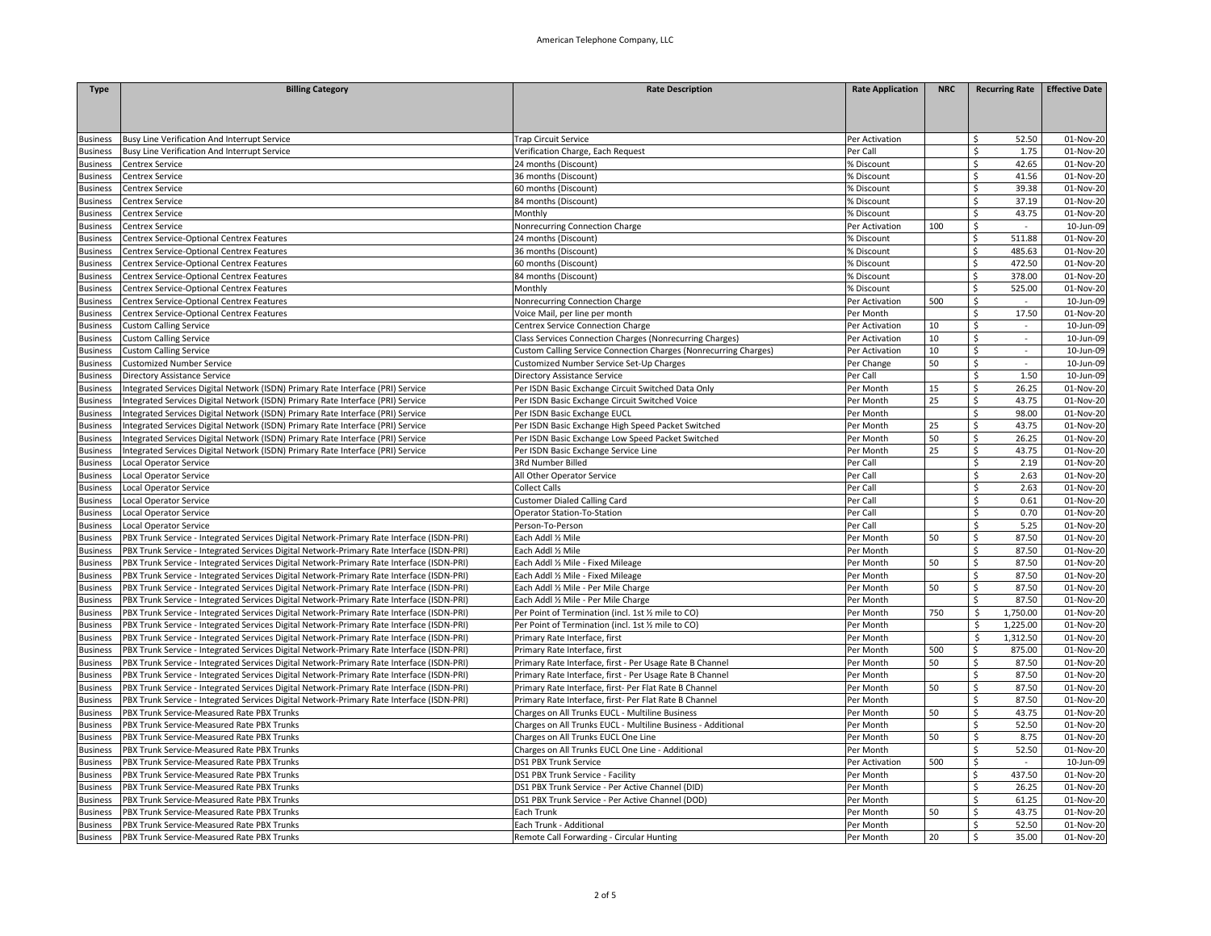| <b>Type</b>     | <b>Billing Category</b>                                                                   | <b>Rate Description</b>                                          | <b>Rate Application</b> | <b>NRC</b> |                    |                                    | Recurring Rate   Effective Date |
|-----------------|-------------------------------------------------------------------------------------------|------------------------------------------------------------------|-------------------------|------------|--------------------|------------------------------------|---------------------------------|
|                 |                                                                                           |                                                                  |                         |            |                    |                                    |                                 |
|                 |                                                                                           |                                                                  |                         |            |                    |                                    |                                 |
|                 |                                                                                           |                                                                  |                         |            |                    |                                    |                                 |
| Business        | Busy Line Verification And Interrupt Service                                              | Trap Circuit Service                                             | Per Activation          |            | Ś.                 | 52.50                              | 01-Nov-20                       |
| Business        | Busy Line Verification And Interrupt Service                                              | Verification Charge, Each Request                                | Per Call                |            | Ś                  | 1.75                               | 01-Nov-20                       |
| Business        | Centrex Service                                                                           | 24 months (Discount)                                             | % Discount              |            | \$                 | 42.65                              | 01-Nov-20                       |
| Business        | Centrex Service                                                                           | 36 months (Discount)                                             | % Discount              |            | Ś                  | 41.56                              | 01-Nov-20                       |
| Business        | Centrex Service                                                                           | 60 months (Discount)                                             | % Discount              |            | \$                 | 39.38                              | 01-Nov-20                       |
| Business        | Centrex Service                                                                           | 84 months (Discount)                                             | % Discount              |            | \$                 | 37.19                              | 01-Nov-20                       |
| Business        | <b>Centrex Service</b>                                                                    | Monthly                                                          | % Discount              |            | \$                 | 43.75                              | 01-Nov-20                       |
| Business        | Centrex Service                                                                           | Nonrecurring Connection Charge                                   | Per Activation          | 100        | \$                 | $\sim$                             | 10-Jun-09                       |
| <b>Business</b> | Centrex Service-Optional Centrex Features                                                 | 24 months (Discount)                                             | % Discount              |            | \$                 | 511.88                             | 01-Nov-20                       |
| <b>Business</b> | Centrex Service-Optional Centrex Features                                                 | 36 months (Discount)                                             | % Discount              |            | \$                 | 485.63                             | 01-Nov-20                       |
| Business        | Centrex Service-Optional Centrex Features                                                 | 60 months (Discount)                                             | 6 Discount              |            | Ś                  | 472.50                             | 01-Nov-20                       |
| Business        | Centrex Service-Optional Centrex Features                                                 | 84 months (Discount)                                             | % Discount              |            | \$                 | 378.00                             | 01-Nov-20                       |
| Business        | Centrex Service-Optional Centrex Features                                                 | Monthly                                                          | % Discount              |            | \$                 | 525.00                             | 01-Nov-20                       |
|                 |                                                                                           |                                                                  |                         | 500        | \$                 | $\sim$                             | 10-Jun-09                       |
| Business        | Centrex Service-Optional Centrex Features                                                 | Nonrecurring Connection Charge                                   | Per Activation          |            | \$                 | 17.50                              | 01-Nov-20                       |
| <b>Business</b> | Centrex Service-Optional Centrex Features                                                 | Voice Mail, per line per month                                   | Per Month               | 10         | \$                 |                                    | 10-Jun-09                       |
| <b>Business</b> | <b>Custom Calling Service</b>                                                             | Centrex Service Connection Charge                                | Per Activation          |            |                    | $\overline{\phantom{a}}$<br>$\sim$ |                                 |
| <b>Business</b> | <b>Custom Calling Service</b>                                                             | Class Services Connection Charges (Nonrecurring Charges)         | Per Activation          | 10         | \$                 |                                    | 10-Jun-09                       |
| <b>Business</b> | <b>Custom Calling Service</b>                                                             | Custom Calling Service Connection Charges (Nonrecurring Charges) | Per Activation          | 10         | \$                 | $\mathcal{L}_{\mathcal{A}}$        | 10-Jun-09                       |
| <b>Business</b> | <b>Customized Number Service</b>                                                          | Customized Number Service Set-Up Charges                         | Per Change              | 50         | \$                 | $\sim$                             | 10-Jun-09                       |
| <b>Business</b> | Directory Assistance Service                                                              | Directory Assistance Service                                     | Per Call                |            | \$                 | 1.50                               | 10-Jun-09                       |
| Business        | Integrated Services Digital Network (ISDN) Primary Rate Interface (PRI) Service           | Per ISDN Basic Exchange Circuit Switched Data Only               | Per Month               | 15         | \$                 | 26.25                              | 01-Nov-20                       |
| Business        | Integrated Services Digital Network (ISDN) Primary Rate Interface (PRI) Service           | Per ISDN Basic Exchange Circuit Switched Voice                   | Per Month               | 25         | Ś                  | 43.75                              | 01-Nov-20                       |
| Business        | Integrated Services Digital Network (ISDN) Primary Rate Interface (PRI) Service           | Per ISDN Basic Exchange EUCL                                     | Per Month               |            | \$                 | 98.00                              | 01-Nov-20                       |
| <b>Business</b> | Integrated Services Digital Network (ISDN) Primary Rate Interface (PRI) Service           | Per ISDN Basic Exchange High Speed Packet Switched               | Per Month               | 25         | \$                 | 43.75                              | 01-Nov-20                       |
| Business        | Integrated Services Digital Network (ISDN) Primary Rate Interface (PRI) Service           | Per ISDN Basic Exchange Low Speed Packet Switched                | Per Month               | 50         | \$                 | 26.25                              | 01-Nov-20                       |
| <b>Business</b> | Integrated Services Digital Network (ISDN) Primary Rate Interface (PRI) Service           | Per ISDN Basic Exchange Service Line                             | Per Month               | 25         | \$                 | 43.75                              | 01-Nov-20                       |
| <b>Business</b> | Local Operator Service                                                                    | 3Rd Number Billed                                                | Per Call                |            | \$                 | 2.19                               | 01-Nov-20                       |
| <b>Business</b> | Local Operator Service                                                                    | All Other Operator Service                                       | Per Call                |            | \$                 | 2.63                               | 01-Nov-20                       |
| <b>Business</b> | Local Operator Service                                                                    | Collect Calls                                                    | Per Call                |            | \$                 | 2.63                               | 01-Nov-20                       |
| <b>Business</b> | Local Operator Service                                                                    | <b>Customer Dialed Calling Card</b>                              | Per Call                |            | \$                 | 0.61                               | 01-Nov-20                       |
| <b>Business</b> | Local Operator Service                                                                    | Operator Station-To-Station                                      | Per Call                |            | Ś                  | 0.70                               | 01-Nov-20                       |
| <b>Business</b> | Local Operator Service                                                                    | Person-To-Person                                                 | Per Call                |            | \$.                | 5.25                               | 01-Nov-20                       |
| <b>Business</b> | PBX Trunk Service - Integrated Services Digital Network-Primary Rate Interface (ISDN-PRI) | Each Addl 1/2 Mile                                               | Per Month               | 50         | \$                 | 87.50                              | 01-Nov-20                       |
| Business        | PBX Trunk Service - Integrated Services Digital Network-Primary Rate Interface (ISDN-PRI) | Each Addl 1/2 Mile                                               | Per Month               |            | Ś                  | 87.50                              | 01-Nov-20                       |
| Business        | PBX Trunk Service - Integrated Services Digital Network-Primary Rate Interface (ISDN-PRI) | Each Addl 1/2 Mile - Fixed Mileage                               | Per Month               | 50         | Ś                  | 87.50                              | 01-Nov-20                       |
| Business        | PBX Trunk Service - Integrated Services Digital Network-Primary Rate Interface (ISDN-PRI) | Each Addl % Mile - Fixed Mileage                                 | Per Month               |            | \$                 | 87.50                              | 01-Nov-20                       |
| <b>Business</b> | PBX Trunk Service - Integrated Services Digital Network-Primary Rate Interface (ISDN-PRI) | Each Addl 1/2 Mile - Per Mile Charge                             | Per Month               | 50         | \$                 | 87.50                              | 01-Nov-20                       |
| <b>Business</b> | PBX Trunk Service - Integrated Services Digital Network-Primary Rate Interface (ISDN-PRI) | Each Addl 1/2 Mile - Per Mile Charge                             | Per Month               |            | \$                 | 87.50                              | 01-Nov-20                       |
| <b>Business</b> | PBX Trunk Service - Integrated Services Digital Network-Primary Rate Interface (ISDN-PRI) | Per Point of Termination (incl. 1st % mile to CO)                | Per Month               | 750        | \$                 | 1,750.00                           | 01-Nov-20                       |
| <b>Business</b> | PBX Trunk Service - Integrated Services Digital Network-Primary Rate Interface (ISDN-PRI) | Per Point of Termination (incl. 1st % mile to CO)                | Per Month               |            | $\mathsf{\hat{S}}$ | 1,225.00                           | 01-Nov-20                       |
| <b>Business</b> | PBX Trunk Service - Integrated Services Digital Network-Primary Rate Interface (ISDN-PRI) | Primary Rate Interface, first                                    | Per Month               |            | \$                 | 1,312.50                           | 01-Nov-20                       |
| Business        | PBX Trunk Service - Integrated Services Digital Network-Primary Rate Interface (ISDN-PRI) | Primary Rate Interface, first                                    | Per Month               | 500        | Ś                  | 875.00                             | 01-Nov-20                       |
| Business        | PBX Trunk Service - Integrated Services Digital Network-Primary Rate Interface (ISDN-PRI) | Primary Rate Interface, first - Per Usage Rate B Channel         | Per Month               | 50         | Ś.                 | 87.50                              | 01-Nov-20                       |
| Business        | PBX Trunk Service - Integrated Services Digital Network-Primary Rate Interface (ISDN-PRI) | Primary Rate Interface, first - Per Usage Rate B Channel         | Per Month               |            | Ś                  | 87.50                              | 01-Nov-20                       |
| <b>Business</b> | PBX Trunk Service - Integrated Services Digital Network-Primary Rate Interface (ISDN-PRI) | Primary Rate Interface, first- Per Flat Rate B Channel           | Per Month               | 50         | \$                 | 87.50                              | 01-Nov-20                       |
| <b>Business</b> | PBX Trunk Service - Integrated Services Digital Network-Primary Rate Interface (ISDN-PRI) | Primary Rate Interface, first- Per Flat Rate B Channel           | Per Month               |            | Ś                  | 87.50                              | 01-Nov-20                       |
| Business        | PBX Trunk Service-Measured Rate PBX Trunks                                                | Charges on All Trunks EUCL - Multiline Business                  | Per Month               | 50         | \$                 | 43.75                              | 01-Nov-20                       |
| Business        | PBX Trunk Service-Measured Rate PBX Trunks                                                | Charges on All Trunks EUCL - Multiline Business - Additional     | Per Month               |            | \$                 | 52.50                              | 01-Nov-20                       |
| Business        | PBX Trunk Service-Measured Rate PBX Trunks                                                | Charges on All Trunks EUCL One Line                              | Per Month               | 50         | \$                 | 8.75                               | 01-Nov-20                       |
| Business        | PBX Trunk Service-Measured Rate PBX Trunks                                                | Charges on All Trunks EUCL One Line - Additional                 | Per Month               |            | \$                 | 52.50                              | 01-Nov-20                       |
| <b>Business</b> | PBX Trunk Service-Measured Rate PBX Trunks                                                | DS1 PBX Trunk Service                                            | Per Activation          | 500        | \$                 |                                    | 10-Jun-09                       |
| <b>Business</b> | PBX Trunk Service-Measured Rate PBX Trunks                                                | DS1 PBX Trunk Service - Facility                                 | Per Month               |            | \$                 | 437.50                             | 01-Nov-20                       |
| Business        | PBX Trunk Service-Measured Rate PBX Trunks                                                | DS1 PBX Trunk Service - Per Active Channel (DID)                 | Per Month               |            | Ś                  | 26.25                              | 01-Nov-20                       |
|                 | PBX Trunk Service-Measured Rate PBX Trunks                                                | DS1 PBX Trunk Service - Per Active Channel (DOD)                 | Per Month               |            | \$                 | 61.25                              | 01-Nov-20                       |
| Business        | PBX Trunk Service-Measured Rate PBX Trunks                                                |                                                                  |                         | 50         | Ś                  | 43.75                              | 01-Nov-20                       |
| <b>Business</b> |                                                                                           | Each Trunk<br>Each Trunk - Additional                            | Per Month<br>Per Month  |            | Ś                  |                                    |                                 |
| Business        | PBX Trunk Service-Measured Rate PBX Trunks                                                |                                                                  |                         |            |                    | 52.50                              | 01-Nov-20                       |
| <b>Business</b> | PBX Trunk Service-Measured Rate PBX Trunks                                                | Remote Call Forwarding - Circular Hunting                        | Per Month               | 20         | \$                 | 35.00                              | 01-Nov-20                       |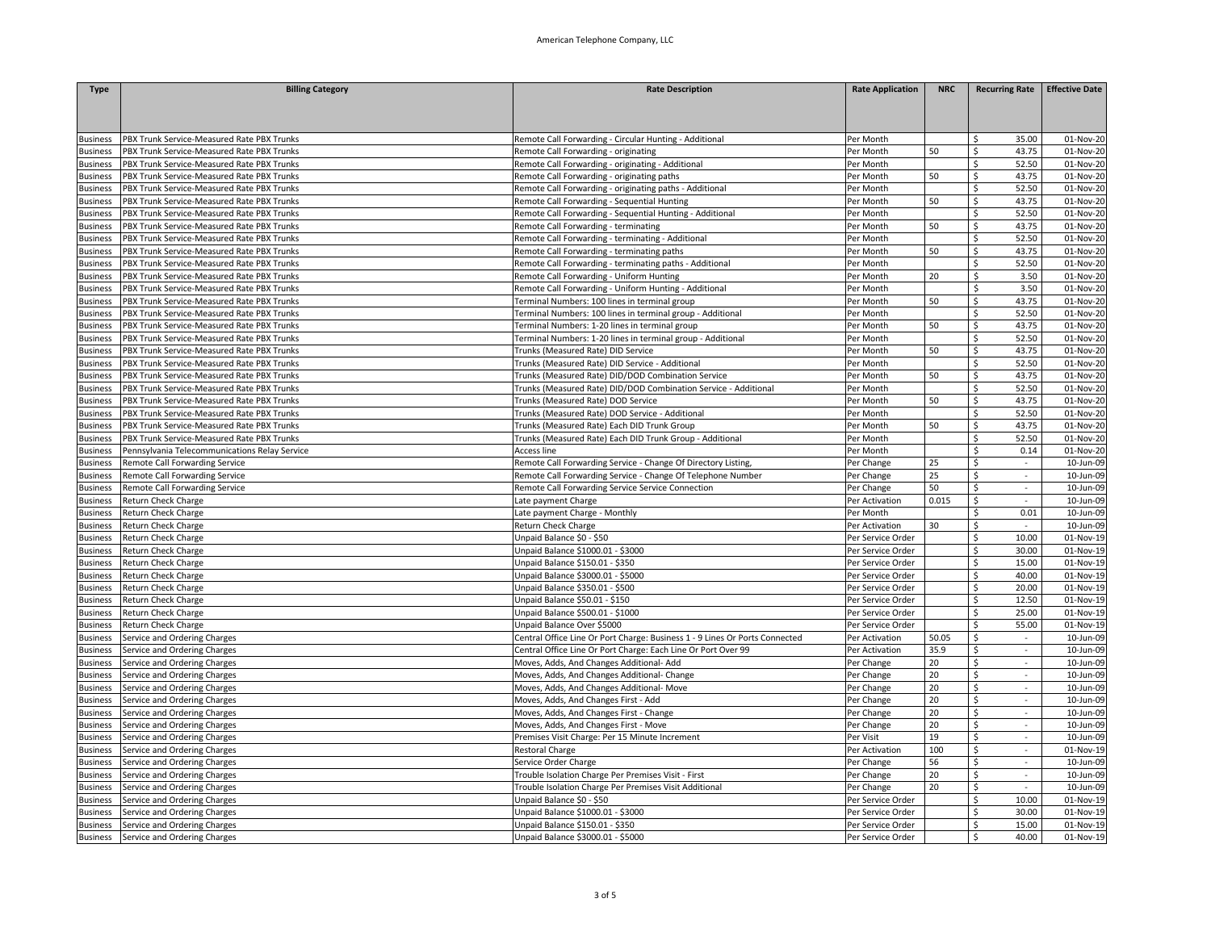| <b>Type</b>     | <b>Billing Category</b>                       | <b>Rate Description</b>                                                     | <b>Rate Application</b> | <b>NRC</b> | <b>Recurring Rate</b>          | <b>Effective Date</b> |
|-----------------|-----------------------------------------------|-----------------------------------------------------------------------------|-------------------------|------------|--------------------------------|-----------------------|
|                 |                                               |                                                                             |                         |            |                                |                       |
|                 |                                               |                                                                             |                         |            |                                |                       |
|                 |                                               |                                                                             |                         |            |                                |                       |
| <b>Business</b> | PBX Trunk Service-Measured Rate PBX Trunks    | Remote Call Forwarding - Circular Hunting - Additional                      | Per Month               |            | 35.00<br>Ŝ.                    | 01-Nov-20             |
| <b>Business</b> | PBX Trunk Service-Measured Rate PBX Trunks    | Remote Call Forwarding - originating                                        | Per Month               | 50         | \$<br>43.75                    | 01-Nov-20             |
| <b>Business</b> | PBX Trunk Service-Measured Rate PBX Trunks    | Remote Call Forwarding - originating - Additional                           | Per Month               |            | \$<br>52.50                    | 01-Nov-20             |
| Business        | PBX Trunk Service-Measured Rate PBX Trunks    | Remote Call Forwarding - originating paths                                  | Per Month               | 50         | \$<br>43.75                    | 01-Nov-20             |
| Business        | PBX Trunk Service-Measured Rate PBX Trunks    | Remote Call Forwarding - originating paths - Additional                     | Per Month               |            | 52.50<br>\$                    | 01-Nov-20             |
| Business        | PBX Trunk Service-Measured Rate PBX Trunks    | Remote Call Forwarding - Sequential Hunting                                 | Per Month               | 50         | \$<br>43.75                    | 01-Nov-20             |
| Business        | PBX Trunk Service-Measured Rate PBX Trunks    | Remote Call Forwarding - Sequential Hunting - Additional                    | Per Month               |            | \$<br>52.50                    | 01-Nov-20             |
| Business        | PBX Trunk Service-Measured Rate PBX Trunks    | Remote Call Forwarding - terminating                                        | Per Month               | 50         | \$<br>43.75                    | 01-Nov-20             |
| Business        | PBX Trunk Service-Measured Rate PBX Trunks    | Remote Call Forwarding - terminating - Additional                           | Per Month               |            | \$<br>52.50                    | 01-Nov-20             |
|                 | PBX Trunk Service-Measured Rate PBX Trunks    | Remote Call Forwarding - terminating paths                                  | Per Month               | 50         | \$<br>43.75                    | 01-Nov-20             |
| <b>Business</b> | PBX Trunk Service-Measured Rate PBX Trunks    |                                                                             | Per Month               |            | \$<br>52.50                    | 01-Nov-20             |
| Business        |                                               | Remote Call Forwarding - terminating paths - Additional                     |                         | 20         | 3.50                           |                       |
| Business        | PBX Trunk Service-Measured Rate PBX Trunks    | Remote Call Forwarding - Uniform Hunting                                    | Per Month               |            | \$<br>Ś                        | 01-Nov-20             |
| Business        | PBX Trunk Service-Measured Rate PBX Trunks    | Remote Call Forwarding - Uniform Hunting - Additional                       | Per Month               |            | 3.50                           | 01-Nov-20             |
| Business        | PBX Trunk Service-Measured Rate PBX Trunks    | Terminal Numbers: 100 lines in terminal group                               | Per Month               | 50         | \$<br>43.75                    | 01-Nov-20             |
| usiness         | PBX Trunk Service-Measured Rate PBX Trunks    | Terminal Numbers: 100 lines in terminal group - Additional                  | Per Month               |            | Ś<br>52.50                     | 01-Nov-20             |
| Business        | PBX Trunk Service-Measured Rate PBX Trunks    | Terminal Numbers: 1-20 lines in terminal group                              | Per Month               | 50         | 43.75<br>\$                    | 01-Nov-20             |
| <b>Business</b> | PBX Trunk Service-Measured Rate PBX Trunks    | Terminal Numbers: 1-20 lines in terminal group - Additional                 | Per Month               |            | Ś.<br>52.50                    | 01-Nov-20             |
| <b>Business</b> | PBX Trunk Service-Measured Rate PBX Trunks    | Trunks (Measured Rate) DID Service                                          | Per Month               | 50         | \$<br>43.75                    | 01-Nov-20             |
| <b>Business</b> | PBX Trunk Service-Measured Rate PBX Trunks    | Trunks (Measured Rate) DID Service - Additional                             | Per Month               |            | 52.50<br>Ś.                    | 01-Nov-20             |
| <b>Business</b> | PBX Trunk Service-Measured Rate PBX Trunks    | Trunks (Measured Rate) DID/DOD Combination Service                          | Per Month               | 50         | \$<br>43.75                    | 01-Nov-20             |
| Business        | PBX Trunk Service-Measured Rate PBX Trunks    | Trunks (Measured Rate) DID/DOD Combination Service - Additional             | Per Month               |            | \$<br>52.50                    | 01-Nov-20             |
| Business        | PBX Trunk Service-Measured Rate PBX Trunks    | Trunks (Measured Rate) DOD Service                                          | Per Month               | 50         | \$<br>43.75                    | 01-Nov-20             |
| <b>Business</b> | PBX Trunk Service-Measured Rate PBX Trunks    | Trunks (Measured Rate) DOD Service - Additional                             | Per Month               |            | \$<br>52.50                    | 01-Nov-20             |
| <b>Business</b> | PBX Trunk Service-Measured Rate PBX Trunks    | Trunks (Measured Rate) Each DID Trunk Group                                 | Per Month               | 50         | \$<br>43.75                    | 01-Nov-20             |
| Business        | PBX Trunk Service-Measured Rate PBX Trunks    | Trunks (Measured Rate) Each DID Trunk Group - Additional                    | Per Month               |            | \$<br>52.50                    | 01-Nov-20             |
| <b>Business</b> | Pennsylvania Telecommunications Relay Service | Access line                                                                 | Per Month               |            | Ś<br>0.14                      | 01-Nov-20             |
| Business        | Remote Call Forwarding Service                | Remote Call Forwarding Service - Change Of Directory Listing                | Per Change              | 25         | \$<br>$\sim$                   | 10-Jun-09             |
| <b>Business</b> | Remote Call Forwarding Service                | Remote Call Forwarding Service - Change Of Telephone Number                 | Per Change              | 25         | \$<br>$\sim$                   | 10-Jun-09             |
| <b>Business</b> | Remote Call Forwarding Service                | Remote Call Forwarding Service Service Connection                           | Per Change              | 50         | \$<br>$\overline{\phantom{a}}$ | 10-Jun-09             |
| <b>Business</b> | <b>Return Check Charge</b>                    | Late payment Charge                                                         | Per Activation          | 0.015      | \$<br>$\sim$                   | 10-Jun-09             |
| <b>Business</b> | Return Check Charge                           | Late payment Charge - Monthly                                               | Per Month               |            | Ś<br>0.01                      | 10-Jun-09             |
| <b>Business</b> | Return Check Charge                           | Return Check Charge                                                         | Per Activation          | 30         | \$<br>$\sim$                   | 10-Jun-09             |
| <b>Business</b> | Return Check Charge                           | Unpaid Balance \$0 - \$50                                                   | Per Service Order       |            | \$<br>10.00                    | 01-Nov-19             |
|                 |                                               |                                                                             |                         |            |                                |                       |
| <b>Business</b> | Return Check Charge                           | Unpaid Balance \$1000.01 - \$3000                                           | Per Service Order       |            | Ś.<br>30.00                    | 01-Nov-19             |
| <b>Business</b> | <b>Return Check Charge</b>                    | Unpaid Balance \$150.01 - \$350                                             | Per Service Order       |            | \$<br>15.00                    | 01-Nov-19             |
| Business        | Return Check Charge                           | Unpaid Balance \$3000.01 - \$5000                                           | Per Service Order       |            | \$<br>40.00                    | 01-Nov-19             |
| Business        | Return Check Charge                           | Unpaid Balance \$350.01 - \$500                                             | Per Service Order       |            | Ś.<br>20.00                    | 01-Nov-19             |
| Business        | Return Check Charge                           | Unpaid Balance \$50.01 - \$150                                              | Per Service Order       |            | \$<br>12.50                    | 01-Nov-19             |
| Business        | Return Check Charge                           | Unpaid Balance \$500.01 - \$1000                                            | Per Service Order       |            | 25.00<br>\$                    | 01-Nov-19             |
| <b>Business</b> | Return Check Charge                           | Unpaid Balance Over \$5000                                                  | Per Service Order       |            | \$<br>55.00                    | 01-Nov-19             |
| Business        | Service and Ordering Charges                  | Central Office Line Or Port Charge: Business 1 - 9 Lines Or Ports Connected | Per Activation          | 50.05      | \$<br>$\sim$                   | 10-Jun-09             |
| Business        | Service and Ordering Charges                  | Central Office Line Or Port Charge: Each Line Or Port Over 99               | Per Activation          | 35.9       | \$                             | 10-Jun-09             |
| <b>Business</b> | Service and Ordering Charges                  | Moves, Adds, And Changes Additional- Add                                    | Per Change              | 20         | Ś.<br>$\sim$                   | 10-Jun-09             |
| Business        | Service and Ordering Charges                  | Moves, Adds, And Changes Additional- Change                                 | Per Change              | 20         | Ś                              | 10-Jun-09             |
| Business        | Service and Ordering Charges                  | Moves, Adds, And Changes Additional- Move                                   | Per Change              | 20         | \$<br>$\overline{\phantom{a}}$ | 10-Jun-09             |
| <b>Business</b> | Service and Ordering Charges                  | Moves, Adds, And Changes First - Add                                        | Per Change              | 20         | Ś.<br>$\sim$                   | 10-Jun-09             |
| <b>Business</b> | Service and Ordering Charges                  | Moves, Adds, And Changes First - Change                                     | Per Change              | 20         | \$<br>$\overline{\phantom{a}}$ | 10-Jun-09             |
| Business        | Service and Ordering Charges                  | Moves, Adds, And Changes First - Move                                       | Per Change              | 20         | Ŝ.<br>÷                        | 10-Jun-09             |
| <b>Business</b> | Service and Ordering Charges                  | Premises Visit Charge: Per 15 Minute Increment                              | Per Visit               | 19         | \$<br>$\omega$                 | 10-Jun-09             |
| Business        | Service and Ordering Charges                  | <b>Restoral Charge</b>                                                      | Per Activation          | 100        | \$<br>$\sim$                   | 01-Nov-19             |
| Business        | Service and Ordering Charges                  | Service Order Charge                                                        | Per Change              | 56         | \$                             | 10-Jun-09             |
| <b>Business</b> | Service and Ordering Charges                  | Trouble Isolation Charge Per Premises Visit - First                         | Per Change              | 20         | \$<br>$\overline{\phantom{a}}$ | 10-Jun-09             |
| <b>Business</b> | Service and Ordering Charges                  | Trouble Isolation Charge Per Premises Visit Additional                      | Per Change              | 20         | \$                             | 10-Jun-09             |
| <b>Business</b> | Service and Ordering Charges                  | Unpaid Balance \$0 - \$50                                                   | Per Service Order       |            | 10.00<br>\$                    | 01-Nov-19             |
| <b>Business</b> | Service and Ordering Charges                  | Unpaid Balance \$1000.01 - \$3000                                           | Per Service Order       |            | \$<br>30.00                    | 01-Nov-19             |
|                 |                                               |                                                                             |                         |            | \$<br>15.00                    | 01-Nov-19             |
| <b>Business</b> | Service and Ordering Charges                  | Unpaid Balance \$150.01 - \$350                                             | Per Service Order       |            |                                |                       |
|                 | Business Service and Ordering Charges         | Unpaid Balance \$3000.01 - \$5000                                           | Per Service Order       |            | \$<br>40.00                    | 01-Nov-19             |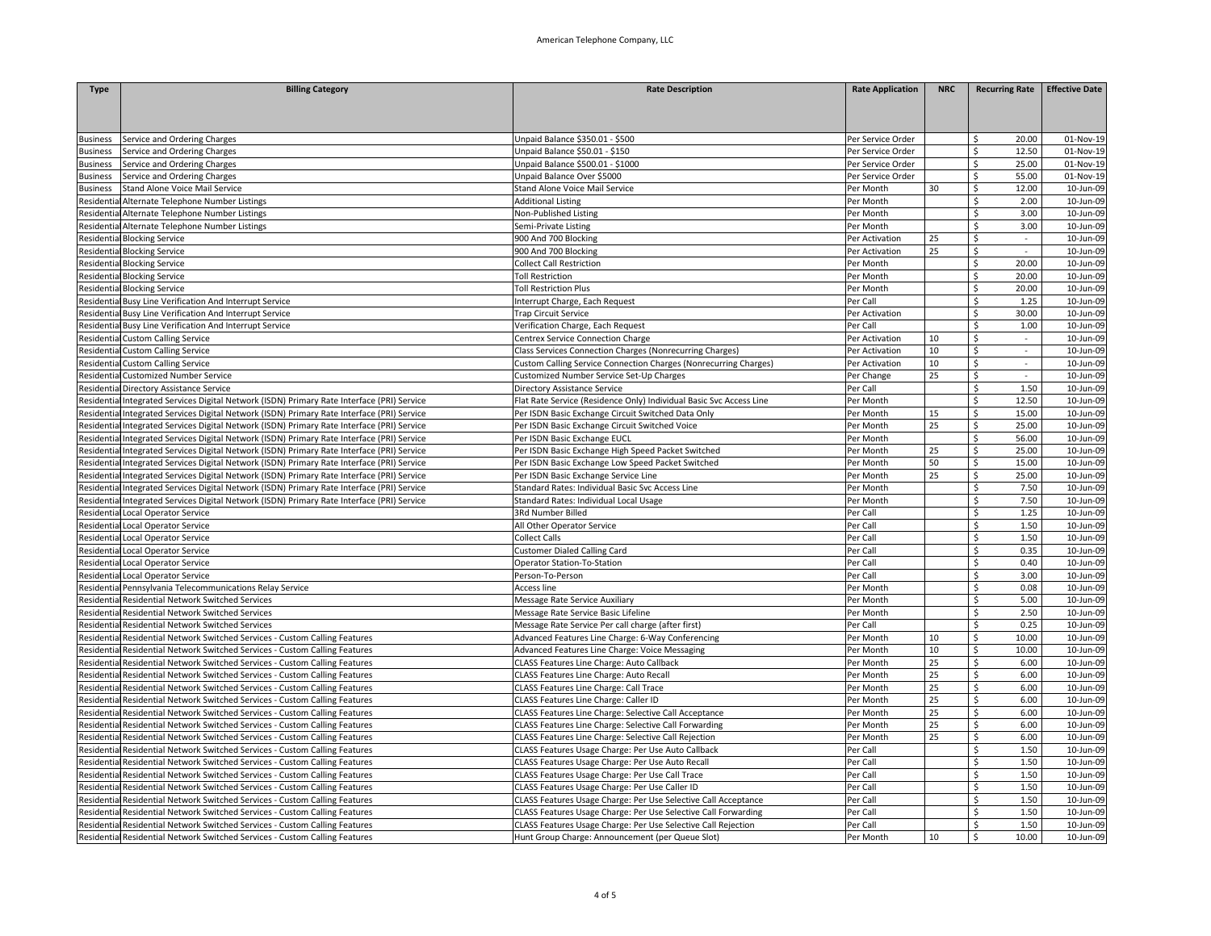| <b>Type</b>        | <b>Billing Category</b>                                                                                                                                    | <b>Rate Description</b>                                                              | <b>Rate Application</b> | <b>NRC</b> | <b>Recurring Rate</b>             | <b>Effective Date</b>  |
|--------------------|------------------------------------------------------------------------------------------------------------------------------------------------------------|--------------------------------------------------------------------------------------|-------------------------|------------|-----------------------------------|------------------------|
|                    |                                                                                                                                                            |                                                                                      |                         |            |                                   |                        |
|                    |                                                                                                                                                            |                                                                                      |                         |            |                                   |                        |
|                    |                                                                                                                                                            |                                                                                      |                         |            |                                   |                        |
| <b>Business</b>    | Service and Ordering Charges                                                                                                                               | Unpaid Balance \$350.01 - \$500                                                      | Per Service Order       |            | 20.00<br>\$                       | 01-Nov-19              |
| Business           | Service and Ordering Charges                                                                                                                               | Unpaid Balance \$50.01 - \$150                                                       | Per Service Order       |            | \$<br>12.50                       | 01-Nov-19              |
| Business           | Service and Ordering Charges                                                                                                                               | Unpaid Balance \$500.01 - \$1000                                                     | Per Service Order       |            | \$<br>25.00                       | 01-Nov-19              |
| Business           | Service and Ordering Charges                                                                                                                               | Unpaid Balance Over \$5000                                                           | Per Service Order       |            | Ś<br>55.00                        | 01-Nov-19              |
| <b>Business</b>    | Stand Alone Voice Mail Service                                                                                                                             | Stand Alone Voice Mail Service                                                       | Per Month               | 30         | \$<br>12.00                       | 10-Jun-09              |
|                    | Residential Alternate Telephone Number Listings                                                                                                            | <b>Additional Listing</b>                                                            | Per Month               |            | 2.00<br>\$                        | 10-Jun-09              |
|                    | Residential Alternate Telephone Number Listings                                                                                                            | Non-Published Listing                                                                | Per Month               |            | \$<br>3.00                        | 10-Jun-09              |
|                    | Residentia Alternate Telephone Number Listings                                                                                                             | Semi-Private Listing                                                                 | Per Month               |            | 3.00<br>\$                        | 10-Jun-09              |
|                    | Residential Blocking Service                                                                                                                               | 900 And 700 Blocking                                                                 | Per Activation          | 25         | Ś                                 | 10-Jun-09              |
|                    | Residential Blocking Service                                                                                                                               | 900 And 700 Blocking                                                                 | Per Activation          | 25         | \$<br>$\mathcal{L}_{\mathcal{A}}$ | 10-Jun-09              |
|                    | esidential Blocking Service                                                                                                                                | <b>Collect Call Restriction</b>                                                      | Per Month               |            | \$.<br>20.00                      | 10-Jun-09              |
|                    | Residential Blocking Service                                                                                                                               | <b>Toll Restriction</b>                                                              | Per Month               |            | \$<br>20.00                       | 10-Jun-09              |
|                    | Residential Blocking Service                                                                                                                               | <b>Toll Restriction Plus</b>                                                         | Per Month               |            | Ś<br>20.00                        | 10-Jun-09              |
|                    | Residential Busy Line Verification And Interrupt Service                                                                                                   | Interrupt Charge, Each Request                                                       | Per Call                |            | \$<br>1.25                        | 10-Jun-09              |
|                    | esidential Busy Line Verification And Interrupt Service                                                                                                    | <b>Trap Circuit Service</b>                                                          | Per Activation          |            | \$<br>30.00                       | 10-Jun-09              |
|                    | Residential Busy Line Verification And Interrupt Service                                                                                                   | Verification Charge, Each Request                                                    | Per Call                |            | \$<br>1.00                        | 10-Jun-09              |
|                    | Residential Custom Calling Service                                                                                                                         | <b>Centrex Service Connection Charge</b>                                             | Per Activation          | 10         | \$<br>$\sim$                      | 10-Jun-09              |
|                    | Residential Custom Calling Service                                                                                                                         | Class Services Connection Charges (Nonrecurring Charges)                             | Per Activation          | 10         | \$<br>$\omega$                    | 10-Jun-09              |
|                    | Residential Custom Calling Service                                                                                                                         | Custom Calling Service Connection Charges (Nonrecurring Charges)                     | Per Activation          | 10         | \$<br>$\sim$                      | 10-Jun-09              |
| esidentia          | <b>Customized Number Service</b>                                                                                                                           | Customized Number Service Set-Up Charges                                             | Per Change              | 25         | \$                                | 10-Jun-09              |
|                    | Residential Directory Assistance Service                                                                                                                   | Directory Assistance Service                                                         | Per Call                |            | \$<br>1.50                        | 10-Jun-09              |
| Residential        | Integrated Services Digital Network (ISDN) Primary Rate Interface (PRI) Service                                                                            | Flat Rate Service (Residence Only) Individual Basic Svc Access Line                  | Per Month               |            | \$<br>12.50                       | 10-Jun-09              |
|                    | Residentia Integrated Services Digital Network (ISDN) Primary Rate Interface (PRI) Service                                                                 | Per ISDN Basic Exchange Circuit Switched Data Only                                   | Per Month               | 15         | Ś<br>15.00                        | 10-Jun-09              |
|                    | Residentia Integrated Services Digital Network (ISDN) Primary Rate Interface (PRI) Service                                                                 | Per ISDN Basic Exchange Circuit Switched Voice                                       | Per Month               | 25         | \$<br>25.00                       | 10-Jun-09              |
|                    | esidential Integrated Services Digital Network (ISDN) Primary Rate Interface (PRI) Service                                                                 | Per ISDN Basic Exchange EUCL                                                         | Per Month               |            | \$<br>56.00                       | 10-Jun-09              |
|                    | Residentia Integrated Services Digital Network (ISDN) Primary Rate Interface (PRI) Service                                                                 | Per ISDN Basic Exchange High Speed Packet Switched                                   | Per Month               | 25         | 25.00<br>\$                       | 10-Jun-09              |
|                    | ResidentialIntegrated Services Digital Network (ISDN) Primary Rate Interface (PRI) Service                                                                 | Per ISDN Basic Exchange Low Speed Packet Switched                                    | Per Month               | 50         | \$<br>15.00                       | 10-Jun-09              |
|                    | Residential Integrated Services Digital Network (ISDN) Primary Rate Interface (PRI) Service                                                                | Per ISDN Basic Exchange Service Line                                                 | Per Month               | 25         | \$<br>25.00                       | 10-Jun-09              |
| <b>Residential</b> | Integrated Services Digital Network (ISDN) Primary Rate Interface (PRI) Service                                                                            | Standard Rates: Individual Basic Svc Access Line                                     | Per Month               |            | \$<br>7.50                        | 10-Jun-09              |
|                    | Residential Integrated Services Digital Network (ISDN) Primary Rate Interface (PRI) Service                                                                | Standard Rates: Individual Local Usage                                               | Per Month               |            | \$<br>7.50                        | 10-Jun-09              |
| <b>Residential</b> | <b>Local Operator Service</b>                                                                                                                              | 3Rd Number Billed                                                                    | Per Call                |            | \$<br>1.25                        | 10-Jun-09              |
|                    | Residential Local Operator Service                                                                                                                         | All Other Operator Service                                                           | Per Call                |            | \$<br>1.50                        | 10-Jun-09              |
| <b>lesidentia</b>  | Local Operator Service                                                                                                                                     | <b>Collect Calls</b>                                                                 | Per Call                |            | 1.50<br>Ś                         | 10-Jun-09              |
|                    | Residential Local Operator Service                                                                                                                         | <b>Customer Dialed Calling Card</b>                                                  | Per Call                |            | \$<br>0.35                        | 10-Jun-09              |
|                    | Residential Local Operator Service                                                                                                                         | Operator Station-To-Station                                                          | Per Call                |            | Ś<br>0.40                         | 10-Jun-09              |
|                    | Residential Local Operator Service                                                                                                                         | Person-To-Person                                                                     | Per Call                |            | \$<br>3.00                        | 10-Jun-09              |
|                    | esidential Pennsylvania Telecommunications Relay Service                                                                                                   | Access line                                                                          | Per Month               |            | 0.08<br>\$                        | 10-Jun-09              |
|                    | Residential Residential Network Switched Services                                                                                                          | Message Rate Service Auxiliary                                                       | Per Month               |            | \$<br>5.00                        | 10-Jun-09              |
|                    | Residential Residential Network Switched Services                                                                                                          | Message Rate Service Basic Lifeline                                                  | Per Month               |            | Ś.<br>2.50                        | 10-Jun-09              |
|                    | Residential Residential Network Switched Services                                                                                                          | Message Rate Service Per call charge (after first)                                   | Per Call                |            | \$<br>0.25                        | 10-Jun-09              |
| Residential        | Residential Network Switched Services - Custom Calling Features                                                                                            | Advanced Features Line Charge: 6-Way Conferencing                                    | Per Month               | 10         | \$<br>10.00                       | 10-Jun-09              |
| lesidentia         | Residential Network Switched Services - Custom Calling Features                                                                                            | Advanced Features Line Charge: Voice Messaging                                       | Per Month               | 10         | \$<br>10.00                       | 10-Jun-09              |
|                    |                                                                                                                                                            |                                                                                      | Per Month               | 25         | \$.<br>6.00                       |                        |
|                    | Residential Residential Network Switched Services - Custom Calling Features                                                                                | CLASS Features Line Charge: Auto Callback<br>CLASS Features Line Charge: Auto Recall |                         | 25         | Ś<br>6.00                         | 10-Jun-09<br>10-Jun-09 |
| Residentia         | Residential Network Switched Services - Custom Calling Features                                                                                            | CLASS Features Line Charge: Call Trace                                               | Per Month<br>Per Month  | 25         | \$<br>6.00                        | 10-Jun-09              |
|                    | esidential Residential Network Switched Services - Custom Calling Features                                                                                 |                                                                                      |                         | 25         | \$<br>6.00                        | 10-Jun-09              |
|                    | Residential Residential Network Switched Services - Custom Calling Features                                                                                | CLASS Features Line Charge: Caller ID                                                | Per Month               |            |                                   |                        |
|                    | Residential Residential Network Switched Services - Custom Calling Features                                                                                | CLASS Features Line Charge: Selective Call Acceptance                                | Per Month               | 25         | \$<br>6.00                        | 10-Jun-09              |
|                    | Residential Residential Network Switched Services - Custom Calling Features                                                                                | CLASS Features Line Charge: Selective Call Forwarding                                | Per Month<br>Per Month  | 25<br>25   | \$<br>6.00<br>\$<br>6.00          | 10-Jun-09<br>10-Jun-09 |
| Residentia         | Residential Residential Network Switched Services - Custom Calling Features                                                                                | CLASS Features Line Charge: Selective Call Rejection                                 | Per Call                |            | 1.50<br>\$                        | 10-Jun-09              |
|                    | Residential Network Switched Services - Custom Calling Features                                                                                            | CLASS Features Usage Charge: Per Use Auto Callback                                   |                         |            | \$<br>1.50                        | 10-Jun-09              |
| lesidentia         | Residential Network Switched Services - Custom Calling Features                                                                                            | CLASS Features Usage Charge: Per Use Auto Recall                                     | Per Call                |            |                                   |                        |
| Residentia         | Residential Network Switched Services - Custom Calling Features                                                                                            | CLASS Features Usage Charge: Per Use Call Trace                                      | Per Call                |            | \$<br>1.50<br>Ś                   | 10-Jun-09              |
| Residentia         | Residential Network Switched Services - Custom Calling Features                                                                                            | CLASS Features Usage Charge: Per Use Caller ID                                       | Per Call                |            | 1.50                              | 10-Jun-09              |
|                    | Residential Residential Network Switched Services - Custom Calling Features<br>Residential Residential Network Switched Services - Custom Calling Features | CLASS Features Usage Charge: Per Use Selective Call Acceptance                       | Per Call                |            | \$<br>1.50<br>\$<br>1.50          | 10-Jun-09<br>10-Jun-09 |
|                    |                                                                                                                                                            | CLASS Features Usage Charge: Per Use Selective Call Forwarding                       | Per Call<br>Per Call    |            | Ś<br>1.50                         |                        |
|                    | Residential Residential Network Switched Services - Custom Calling Features                                                                                | CLASS Features Usage Charge: Per Use Selective Call Rejection                        |                         |            |                                   | 10-Jun-09              |
|                    | Residential Residential Network Switched Services - Custom Calling Features                                                                                | Hunt Group Charge: Announcement (per Queue Slot)                                     | Per Month               | 10         | \$<br>10.00                       | 10-Jun-09              |